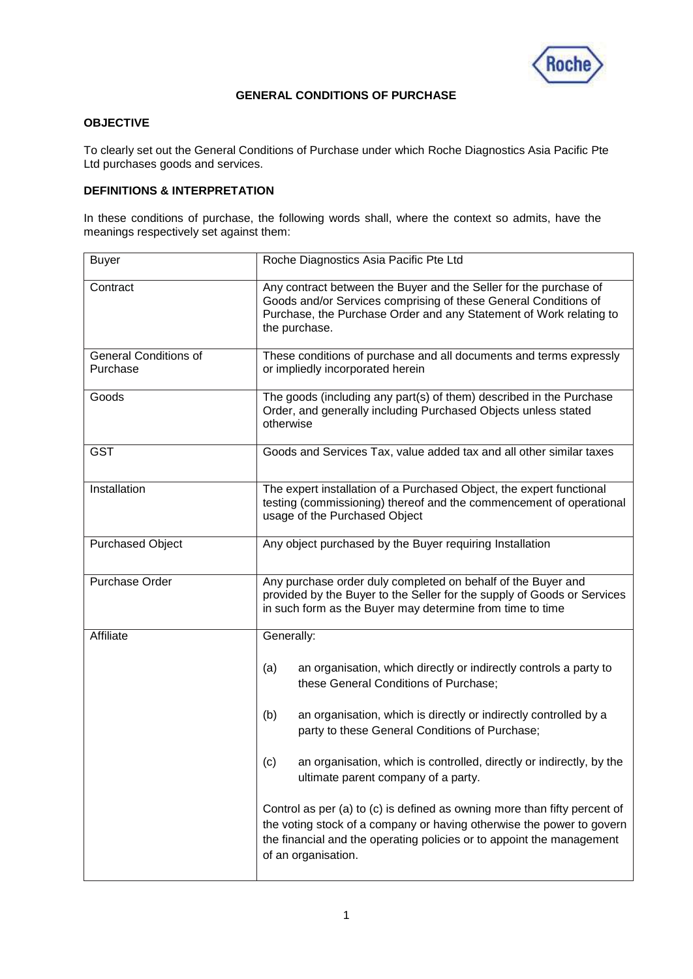

## **GENERAL CONDITIONS OF PURCHASE**

# **OBJECTIVE**

To clearly set out the General Conditions of Purchase under which Roche Diagnostics Asia Pacific Pte Ltd purchases goods and services.

## **DEFINITIONS & INTERPRETATION**

In these conditions of purchase, the following words shall, where the context so admits, have the meanings respectively set against them:

| <b>Buyer</b>                             | Roche Diagnostics Asia Pacific Pte Ltd                                                                                                                                                                                                             |
|------------------------------------------|----------------------------------------------------------------------------------------------------------------------------------------------------------------------------------------------------------------------------------------------------|
| Contract                                 | Any contract between the Buyer and the Seller for the purchase of<br>Goods and/or Services comprising of these General Conditions of<br>Purchase, the Purchase Order and any Statement of Work relating to<br>the purchase.                        |
| <b>General Conditions of</b><br>Purchase | These conditions of purchase and all documents and terms expressly<br>or impliedly incorporated herein                                                                                                                                             |
| Goods                                    | The goods (including any part(s) of them) described in the Purchase<br>Order, and generally including Purchased Objects unless stated<br>otherwise                                                                                                 |
| <b>GST</b>                               | Goods and Services Tax, value added tax and all other similar taxes                                                                                                                                                                                |
| Installation                             | The expert installation of a Purchased Object, the expert functional<br>testing (commissioning) thereof and the commencement of operational<br>usage of the Purchased Object                                                                       |
| <b>Purchased Object</b>                  | Any object purchased by the Buyer requiring Installation                                                                                                                                                                                           |
| Purchase Order                           | Any purchase order duly completed on behalf of the Buyer and<br>provided by the Buyer to the Seller for the supply of Goods or Services<br>in such form as the Buyer may determine from time to time                                               |
| Affiliate                                | Generally:                                                                                                                                                                                                                                         |
|                                          | an organisation, which directly or indirectly controls a party to<br>(a)<br>these General Conditions of Purchase;                                                                                                                                  |
|                                          | an organisation, which is directly or indirectly controlled by a<br>(b)<br>party to these General Conditions of Purchase;                                                                                                                          |
|                                          | an organisation, which is controlled, directly or indirectly, by the<br>(c)<br>ultimate parent company of a party.                                                                                                                                 |
|                                          | Control as per (a) to (c) is defined as owning more than fifty percent of<br>the voting stock of a company or having otherwise the power to govern<br>the financial and the operating policies or to appoint the management<br>of an organisation. |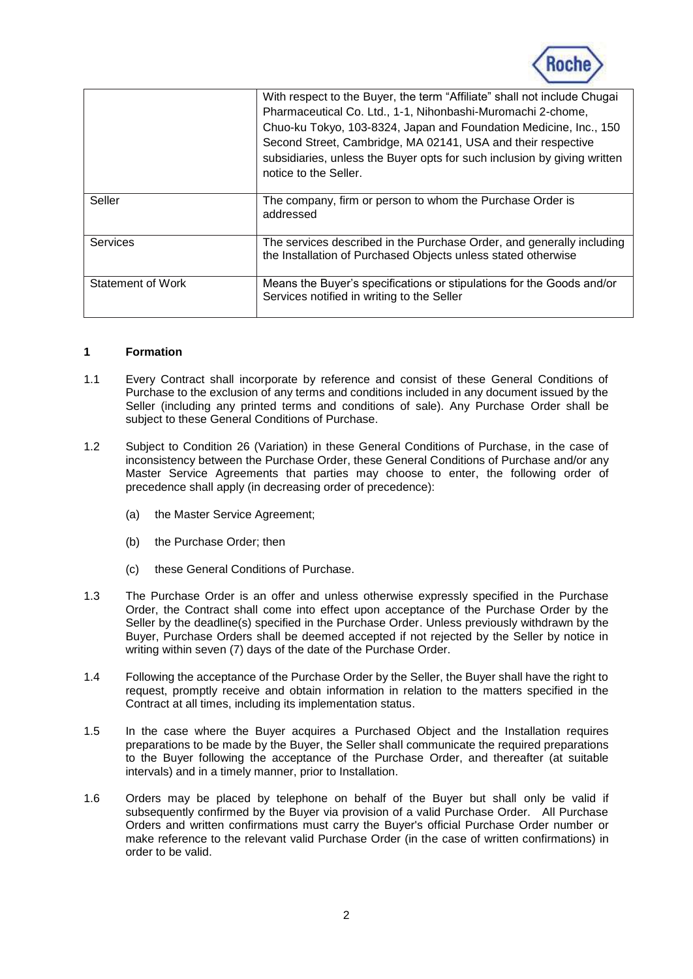

|                   | With respect to the Buyer, the term "Affiliate" shall not include Chugai<br>Pharmaceutical Co. Ltd., 1-1, Nihonbashi-Muromachi 2-chome,<br>Chuo-ku Tokyo, 103-8324, Japan and Foundation Medicine, Inc., 150<br>Second Street, Cambridge, MA 02141, USA and their respective<br>subsidiaries, unless the Buyer opts for such inclusion by giving written<br>notice to the Seller. |
|-------------------|-----------------------------------------------------------------------------------------------------------------------------------------------------------------------------------------------------------------------------------------------------------------------------------------------------------------------------------------------------------------------------------|
| Seller            | The company, firm or person to whom the Purchase Order is<br>addressed                                                                                                                                                                                                                                                                                                            |
| <b>Services</b>   | The services described in the Purchase Order, and generally including<br>the Installation of Purchased Objects unless stated otherwise                                                                                                                                                                                                                                            |
| Statement of Work | Means the Buyer's specifications or stipulations for the Goods and/or<br>Services notified in writing to the Seller                                                                                                                                                                                                                                                               |

## **1 Formation**

- 1.1 Every Contract shall incorporate by reference and consist of these General Conditions of Purchase to the exclusion of any terms and conditions included in any document issued by the Seller (including any printed terms and conditions of sale). Any Purchase Order shall be subject to these General Conditions of Purchase.
- 1.2 Subject to Condition [26](#page-15-0) (Variation) in these General Conditions of Purchase, in the case of inconsistency between the Purchase Order, these General Conditions of Purchase and/or any Master Service Agreements that parties may choose to enter, the following order of precedence shall apply (in decreasing order of precedence):
	- (a) the Master Service Agreement;
	- (b) the Purchase Order; then
	- (c) these General Conditions of Purchase.
- 1.3 The Purchase Order is an offer and unless otherwise expressly specified in the Purchase Order, the Contract shall come into effect upon acceptance of the Purchase Order by the Seller by the deadline(s) specified in the Purchase Order. Unless previously withdrawn by the Buyer, Purchase Orders shall be deemed accepted if not rejected by the Seller by notice in writing within seven (7) days of the date of the Purchase Order.
- 1.4 Following the acceptance of the Purchase Order by the Seller, the Buyer shall have the right to request, promptly receive and obtain information in relation to the matters specified in the Contract at all times, including its implementation status.
- 1.5 In the case where the Buyer acquires a Purchased Object and the Installation requires preparations to be made by the Buyer, the Seller shall communicate the required preparations to the Buyer following the acceptance of the Purchase Order, and thereafter (at suitable intervals) and in a timely manner, prior to Installation.
- 1.6 Orders may be placed by telephone on behalf of the Buyer but shall only be valid if subsequently confirmed by the Buyer via provision of a valid Purchase Order. All Purchase Orders and written confirmations must carry the Buyer's official Purchase Order number or make reference to the relevant valid Purchase Order (in the case of written confirmations) in order to be valid.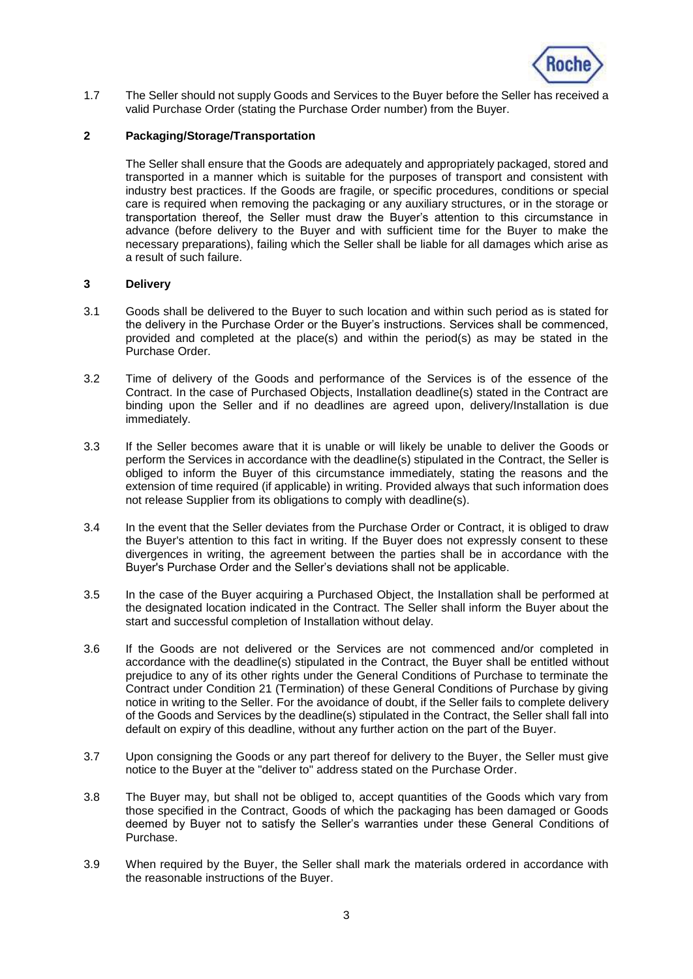

1.7 The Seller should not supply Goods and Services to the Buyer before the Seller has received a valid Purchase Order (stating the Purchase Order number) from the Buyer.

## **2 Packaging/Storage/Transportation**

The Seller shall ensure that the Goods are adequately and appropriately packaged, stored and transported in a manner which is suitable for the purposes of transport and consistent with industry best practices. If the Goods are fragile, or specific procedures, conditions or special care is required when removing the packaging or any auxiliary structures, or in the storage or transportation thereof, the Seller must draw the Buyer's attention to this circumstance in advance (before delivery to the Buyer and with sufficient time for the Buyer to make the necessary preparations), failing which the Seller shall be liable for all damages which arise as a result of such failure.

#### **3 Delivery**

- 3.1 Goods shall be delivered to the Buyer to such location and within such period as is stated for the delivery in the Purchase Order or the Buyer's instructions. Services shall be commenced, provided and completed at the place(s) and within the period(s) as may be stated in the Purchase Order.
- 3.2 Time of delivery of the Goods and performance of the Services is of the essence of the Contract. In the case of Purchased Objects, Installation deadline(s) stated in the Contract are binding upon the Seller and if no deadlines are agreed upon, delivery/Installation is due immediately.
- 3.3 If the Seller becomes aware that it is unable or will likely be unable to deliver the Goods or perform the Services in accordance with the deadline(s) stipulated in the Contract, the Seller is obliged to inform the Buyer of this circumstance immediately, stating the reasons and the extension of time required (if applicable) in writing. Provided always that such information does not release Supplier from its obligations to comply with deadline(s).
- 3.4 In the event that the Seller deviates from the Purchase Order or Contract, it is obliged to draw the Buyer's attention to this fact in writing. If the Buyer does not expressly consent to these divergences in writing, the agreement between the parties shall be in accordance with the Buyer's Purchase Order and the Seller's deviations shall not be applicable.
- 3.5 In the case of the Buyer acquiring a Purchased Object, the Installation shall be performed at the designated location indicated in the Contract. The Seller shall inform the Buyer about the start and successful completion of Installation without delay.
- 3.6 If the Goods are not delivered or the Services are not commenced and/or completed in accordance with the deadline(s) stipulated in the Contract, the Buyer shall be entitled without prejudice to any of its other rights under the General Conditions of Purchase to terminate the Contract under Condition [21](#page-13-0) (Termination) of these General Conditions of Purchase by giving notice in writing to the Seller. For the avoidance of doubt, if the Seller fails to complete delivery of the Goods and Services by the deadline(s) stipulated in the Contract, the Seller shall fall into default on expiry of this deadline, without any further action on the part of the Buyer.
- 3.7 Upon consigning the Goods or any part thereof for delivery to the Buyer, the Seller must give notice to the Buyer at the "deliver to" address stated on the Purchase Order.
- 3.8 The Buyer may, but shall not be obliged to, accept quantities of the Goods which vary from those specified in the Contract, Goods of which the packaging has been damaged or Goods deemed by Buyer not to satisfy the Seller's warranties under these General Conditions of Purchase.
- 3.9 When required by the Buyer, the Seller shall mark the materials ordered in accordance with the reasonable instructions of the Buyer.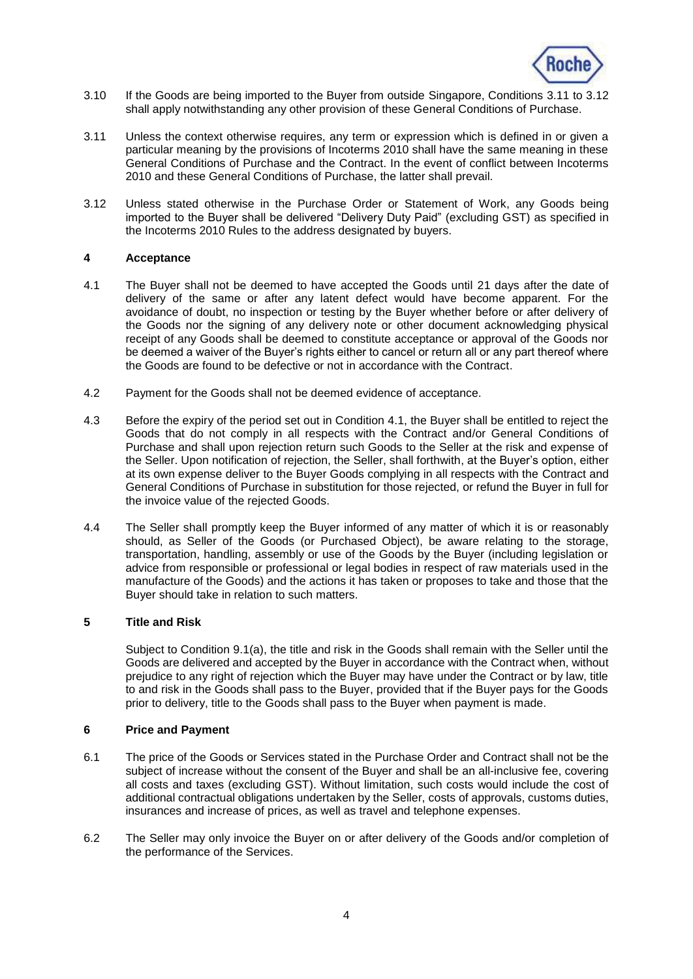

- 3.10 If the Goods are being imported to the Buyer from outside Singapore, Conditions [3.11](#page-3-0) to [3.12](#page-3-1) shall apply notwithstanding any other provision of these General Conditions of Purchase.
- <span id="page-3-0"></span>3.11 Unless the context otherwise requires, any term or expression which is defined in or given a particular meaning by the provisions of Incoterms 2010 shall have the same meaning in these General Conditions of Purchase and the Contract. In the event of conflict between Incoterms 2010 and these General Conditions of Purchase, the latter shall prevail.
- <span id="page-3-1"></span>3.12 Unless stated otherwise in the Purchase Order or Statement of Work, any Goods being imported to the Buyer shall be delivered "Delivery Duty Paid" (excluding GST) as specified in the Incoterms 2010 Rules to the address designated by buyers.

### **4 Acceptance**

- <span id="page-3-2"></span>4.1 The Buyer shall not be deemed to have accepted the Goods until 21 days after the date of delivery of the same or after any latent defect would have become apparent. For the avoidance of doubt, no inspection or testing by the Buyer whether before or after delivery of the Goods nor the signing of any delivery note or other document acknowledging physical receipt of any Goods shall be deemed to constitute acceptance or approval of the Goods nor be deemed a waiver of the Buyer's rights either to cancel or return all or any part thereof where the Goods are found to be defective or not in accordance with the Contract.
- 4.2 Payment for the Goods shall not be deemed evidence of acceptance.
- 4.3 Before the expiry of the period set out in Condition [4.1,](#page-3-2) the Buyer shall be entitled to reject the Goods that do not comply in all respects with the Contract and/or General Conditions of Purchase and shall upon rejection return such Goods to the Seller at the risk and expense of the Seller. Upon notification of rejection, the Seller, shall forthwith, at the Buyer's option, either at its own expense deliver to the Buyer Goods complying in all respects with the Contract and General Conditions of Purchase in substitution for those rejected, or refund the Buyer in full for the invoice value of the rejected Goods.
- 4.4 The Seller shall promptly keep the Buyer informed of any matter of which it is or reasonably should, as Seller of the Goods (or Purchased Object), be aware relating to the storage, transportation, handling, assembly or use of the Goods by the Buyer (including legislation or advice from responsible or professional or legal bodies in respect of raw materials used in the manufacture of the Goods) and the actions it has taken or proposes to take and those that the Buyer should take in relation to such matters.

## <span id="page-3-3"></span>**5 Title and Risk**

Subject to Condition [9.1\(a\),](#page-8-0) the title and risk in the Goods shall remain with the Seller until the Goods are delivered and accepted by the Buyer in accordance with the Contract when, without prejudice to any right of rejection which the Buyer may have under the Contract or by law, title to and risk in the Goods shall pass to the Buyer, provided that if the Buyer pays for the Goods prior to delivery, title to the Goods shall pass to the Buyer when payment is made.

## **6 Price and Payment**

- 6.1 The price of the Goods or Services stated in the Purchase Order and Contract shall not be the subject of increase without the consent of the Buyer and shall be an all-inclusive fee, covering all costs and taxes (excluding GST). Without limitation, such costs would include the cost of additional contractual obligations undertaken by the Seller, costs of approvals, customs duties, insurances and increase of prices, as well as travel and telephone expenses.
- 6.2 The Seller may only invoice the Buyer on or after delivery of the Goods and/or completion of the performance of the Services.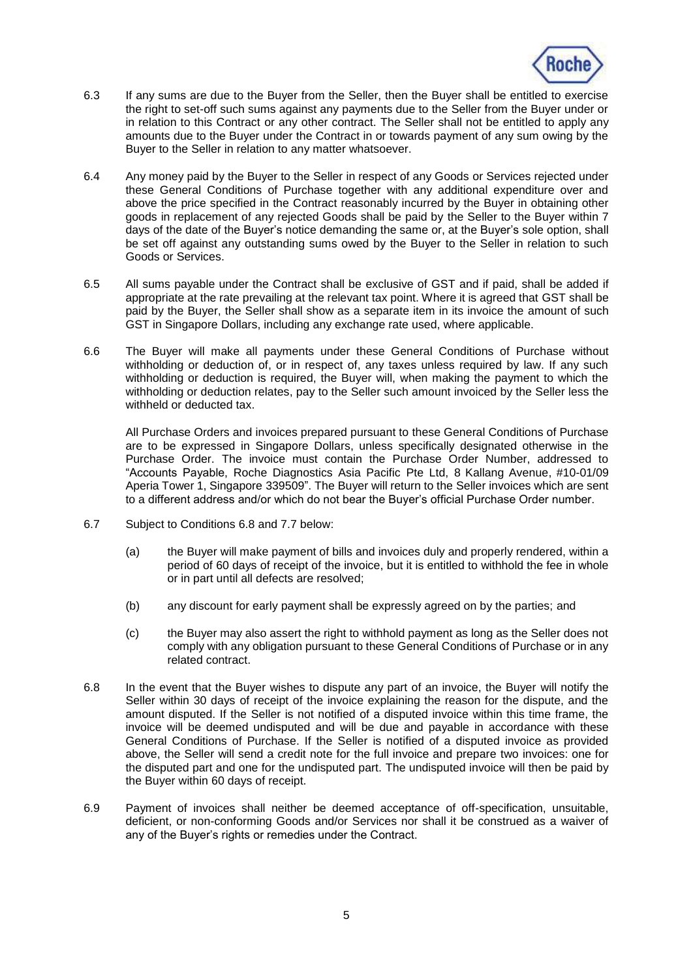

- 6.3 If any sums are due to the Buyer from the Seller, then the Buyer shall be entitled to exercise the right to set-off such sums against any payments due to the Seller from the Buyer under or in relation to this Contract or any other contract. The Seller shall not be entitled to apply any amounts due to the Buyer under the Contract in or towards payment of any sum owing by the Buyer to the Seller in relation to any matter whatsoever.
- 6.4 Any money paid by the Buyer to the Seller in respect of any Goods or Services rejected under these General Conditions of Purchase together with any additional expenditure over and above the price specified in the Contract reasonably incurred by the Buyer in obtaining other goods in replacement of any rejected Goods shall be paid by the Seller to the Buyer within 7 days of the date of the Buyer's notice demanding the same or, at the Buyer's sole option, shall be set off against any outstanding sums owed by the Buyer to the Seller in relation to such Goods or Services.
- 6.5 All sums payable under the Contract shall be exclusive of GST and if paid, shall be added if appropriate at the rate prevailing at the relevant tax point. Where it is agreed that GST shall be paid by the Buyer, the Seller shall show as a separate item in its invoice the amount of such GST in Singapore Dollars, including any exchange rate used, where applicable.
- 6.6 The Buyer will make all payments under these General Conditions of Purchase without withholding or deduction of, or in respect of, any taxes unless required by law. If any such withholding or deduction is required, the Buyer will, when making the payment to which the withholding or deduction relates, pay to the Seller such amount invoiced by the Seller less the withheld or deducted tax.

<span id="page-4-1"></span>All Purchase Orders and invoices prepared pursuant to these General Conditions of Purchase are to be expressed in Singapore Dollars, unless specifically designated otherwise in the Purchase Order. The invoice must contain the Purchase Order Number, addressed to "Accounts Payable, Roche Diagnostics Asia Pacific Pte Ltd, 8 Kallang Avenue, #10-01/09 Aperia Tower 1, Singapore 339509". The Buyer will return to the Seller invoices which are sent to a different address and/or which do not bear the Buyer's official Purchase Order number.

- 6.7 Subject to Conditions [6.8](#page-4-0) and [7.7](#page-7-0) below:
	- (a) the Buyer will make payment of bills and invoices duly and properly rendered, within a period of 60 days of receipt of the invoice, but it is entitled to withhold the fee in whole or in part until all defects are resolved;
	- (b) any discount for early payment shall be expressly agreed on by the parties; and
	- (c) the Buyer may also assert the right to withhold payment as long as the Seller does not comply with any obligation pursuant to these General Conditions of Purchase or in any related contract.
- <span id="page-4-0"></span>6.8 In the event that the Buyer wishes to dispute any part of an invoice, the Buyer will notify the Seller within 30 days of receipt of the invoice explaining the reason for the dispute, and the amount disputed. If the Seller is not notified of a disputed invoice within this time frame, the invoice will be deemed undisputed and will be due and payable in accordance with these General Conditions of Purchase. If the Seller is notified of a disputed invoice as provided above, the Seller will send a credit note for the full invoice and prepare two invoices: one for the disputed part and one for the undisputed part. The undisputed invoice will then be paid by the Buyer within 60 days of receipt.
- 6.9 Payment of invoices shall neither be deemed acceptance of off-specification, unsuitable, deficient, or non-conforming Goods and/or Services nor shall it be construed as a waiver of any of the Buyer's rights or remedies under the Contract.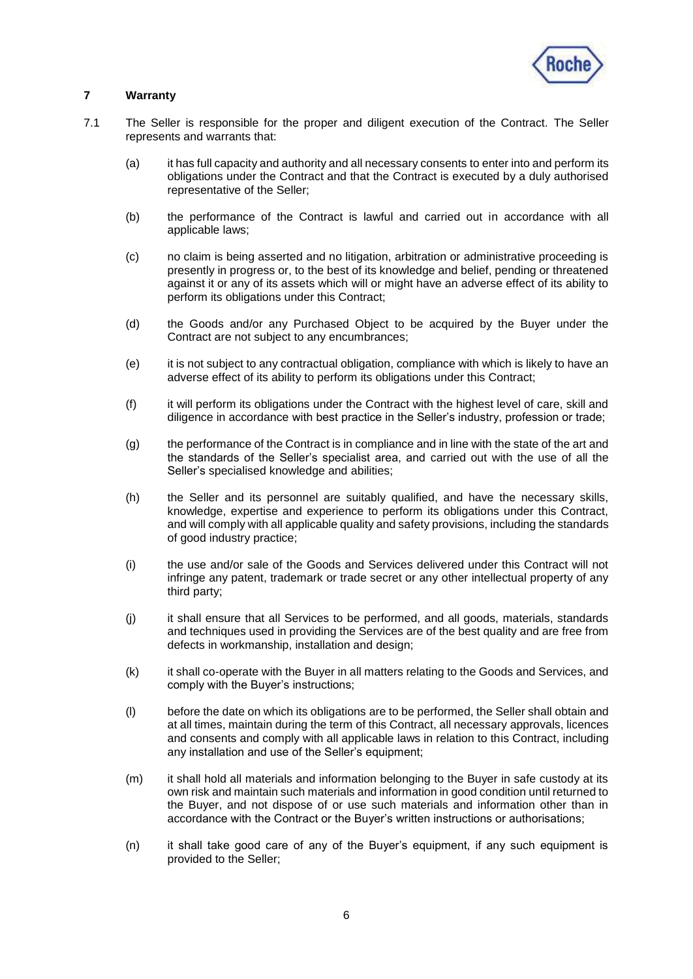

## <span id="page-5-1"></span>**7 Warranty**

- <span id="page-5-0"></span>7.1 The Seller is responsible for the proper and diligent execution of the Contract. The Seller represents and warrants that:
	- (a) it has full capacity and authority and all necessary consents to enter into and perform its obligations under the Contract and that the Contract is executed by a duly authorised representative of the Seller;
	- (b) the performance of the Contract is lawful and carried out in accordance with all applicable laws;
	- (c) no claim is being asserted and no litigation, arbitration or administrative proceeding is presently in progress or, to the best of its knowledge and belief, pending or threatened against it or any of its assets which will or might have an adverse effect of its ability to perform its obligations under this Contract;
	- (d) the Goods and/or any Purchased Object to be acquired by the Buyer under the Contract are not subject to any encumbrances;
	- (e) it is not subject to any contractual obligation, compliance with which is likely to have an adverse effect of its ability to perform its obligations under this Contract;
	- (f) it will perform its obligations under the Contract with the highest level of care, skill and diligence in accordance with best practice in the Seller's industry, profession or trade;
	- (g) the performance of the Contract is in compliance and in line with the state of the art and the standards of the Seller's specialist area, and carried out with the use of all the Seller's specialised knowledge and abilities;
	- (h) the Seller and its personnel are suitably qualified, and have the necessary skills, knowledge, expertise and experience to perform its obligations under this Contract, and will comply with all applicable quality and safety provisions, including the standards of good industry practice;
	- (i) the use and/or sale of the Goods and Services delivered under this Contract will not infringe any patent, trademark or trade secret or any other intellectual property of any third party;
	- (j) it shall ensure that all Services to be performed, and all goods, materials, standards and techniques used in providing the Services are of the best quality and are free from defects in workmanship, installation and design;
	- (k) it shall co-operate with the Buyer in all matters relating to the Goods and Services, and comply with the Buyer's instructions;
	- (l) before the date on which its obligations are to be performed, the Seller shall obtain and at all times, maintain during the term of this Contract, all necessary approvals, licences and consents and comply with all applicable laws in relation to this Contract, including any installation and use of the Seller's equipment;
	- (m) it shall hold all materials and information belonging to the Buyer in safe custody at its own risk and maintain such materials and information in good condition until returned to the Buyer, and not dispose of or use such materials and information other than in accordance with the Contract or the Buyer's written instructions or authorisations;
	- (n) it shall take good care of any of the Buyer's equipment, if any such equipment is provided to the Seller;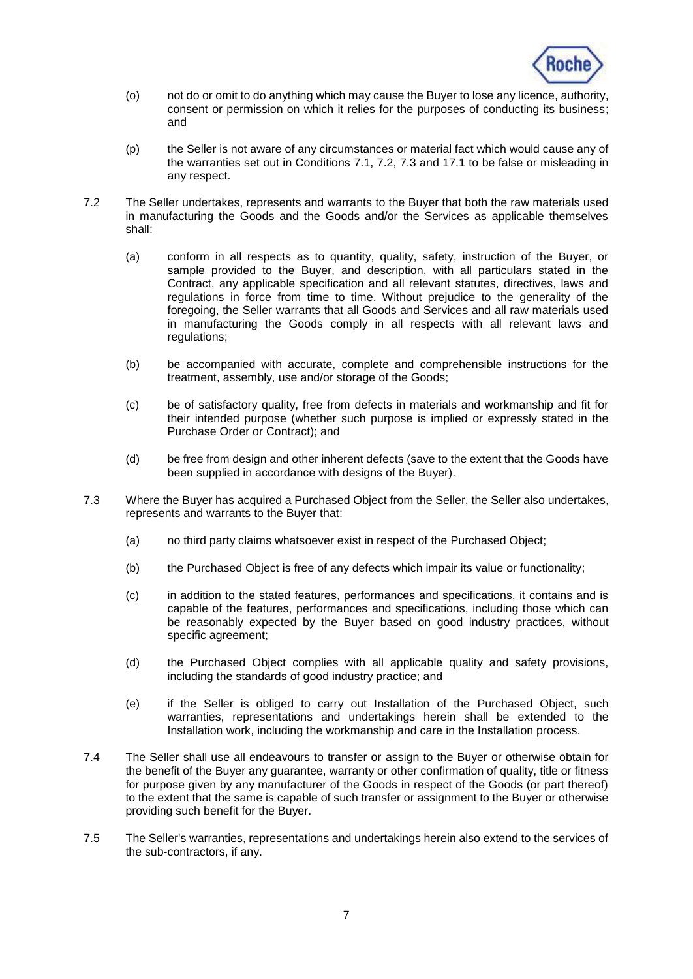

- (o) not do or omit to do anything which may cause the Buyer to lose any licence, authority, consent or permission on which it relies for the purposes of conducting its business; and
- (p) the Seller is not aware of any circumstances or material fact which would cause any of the warranties set out in Conditions [7.1,](#page-5-0) [7.2,](#page-6-0) [7.3](#page-6-1) and [17.1](#page-11-0) to be false or misleading in any respect.
- <span id="page-6-0"></span>7.2 The Seller undertakes, represents and warrants to the Buyer that both the raw materials used in manufacturing the Goods and the Goods and/or the Services as applicable themselves shall:
	- (a) conform in all respects as to quantity, quality, safety, instruction of the Buyer, or sample provided to the Buyer, and description, with all particulars stated in the Contract, any applicable specification and all relevant statutes, directives, laws and regulations in force from time to time. Without prejudice to the generality of the foregoing, the Seller warrants that all Goods and Services and all raw materials used in manufacturing the Goods comply in all respects with all relevant laws and regulations;
	- (b) be accompanied with accurate, complete and comprehensible instructions for the treatment, assembly, use and/or storage of the Goods;
	- (c) be of satisfactory quality, free from defects in materials and workmanship and fit for their intended purpose (whether such purpose is implied or expressly stated in the Purchase Order or Contract); and
	- (d) be free from design and other inherent defects (save to the extent that the Goods have been supplied in accordance with designs of the Buyer).
- <span id="page-6-1"></span>7.3 Where the Buyer has acquired a Purchased Object from the Seller, the Seller also undertakes, represents and warrants to the Buyer that:
	- (a) no third party claims whatsoever exist in respect of the Purchased Object;
	- (b) the Purchased Object is free of any defects which impair its value or functionality;
	- (c) in addition to the stated features, performances and specifications, it contains and is capable of the features, performances and specifications, including those which can be reasonably expected by the Buyer based on good industry practices, without specific agreement;
	- (d) the Purchased Object complies with all applicable quality and safety provisions, including the standards of good industry practice; and
	- (e) if the Seller is obliged to carry out Installation of the Purchased Object, such warranties, representations and undertakings herein shall be extended to the Installation work, including the workmanship and care in the Installation process.
- <span id="page-6-2"></span>7.4 The Seller shall use all endeavours to transfer or assign to the Buyer or otherwise obtain for the benefit of the Buyer any guarantee, warranty or other confirmation of quality, title or fitness for purpose given by any manufacturer of the Goods in respect of the Goods (or part thereof) to the extent that the same is capable of such transfer or assignment to the Buyer or otherwise providing such benefit for the Buyer.
- 7.5 The Seller's warranties, representations and undertakings herein also extend to the services of the sub-contractors, if any.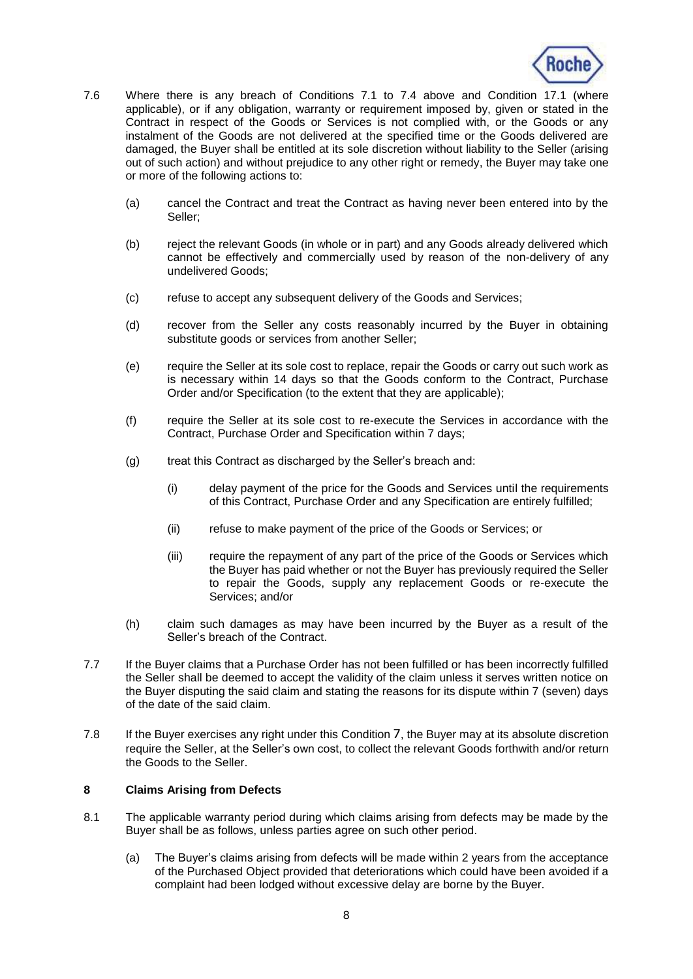

- 7.6 Where there is any breach of Conditions [7.1](#page-5-0) to [7.4](#page-6-2) above and Condition [17.1](#page-11-0) (where applicable), or if any obligation, warranty or requirement imposed by, given or stated in the Contract in respect of the Goods or Services is not complied with, or the Goods or any instalment of the Goods are not delivered at the specified time or the Goods delivered are damaged, the Buyer shall be entitled at its sole discretion without liability to the Seller (arising out of such action) and without prejudice to any other right or remedy, the Buyer may take one or more of the following actions to:
	- (a) cancel the Contract and treat the Contract as having never been entered into by the Seller;
	- (b) reject the relevant Goods (in whole or in part) and any Goods already delivered which cannot be effectively and commercially used by reason of the non-delivery of any undelivered Goods;
	- (c) refuse to accept any subsequent delivery of the Goods and Services;
	- (d) recover from the Seller any costs reasonably incurred by the Buyer in obtaining substitute goods or services from another Seller;
	- (e) require the Seller at its sole cost to replace, repair the Goods or carry out such work as is necessary within 14 days so that the Goods conform to the Contract, Purchase Order and/or Specification (to the extent that they are applicable);
	- (f) require the Seller at its sole cost to re-execute the Services in accordance with the Contract, Purchase Order and Specification within 7 days;
	- (g) treat this Contract as discharged by the Seller's breach and:
		- (i) delay payment of the price for the Goods and Services until the requirements of this Contract, Purchase Order and any Specification are entirely fulfilled;
		- (ii) refuse to make payment of the price of the Goods or Services; or
		- (iii) require the repayment of any part of the price of the Goods or Services which the Buyer has paid whether or not the Buyer has previously required the Seller to repair the Goods, supply any replacement Goods or re-execute the Services; and/or
	- (h) claim such damages as may have been incurred by the Buyer as a result of the Seller's breach of the Contract.
- <span id="page-7-0"></span>7.7 If the Buyer claims that a Purchase Order has not been fulfilled or has been incorrectly fulfilled the Seller shall be deemed to accept the validity of the claim unless it serves written notice on the Buyer disputing the said claim and stating the reasons for its dispute within 7 (seven) days of the date of the said claim.
- 7.8 If the Buyer exercises any right under this Condition [7](#page-5-1), the Buyer may at its absolute discretion require the Seller, at the Seller's own cost, to collect the relevant Goods forthwith and/or return the Goods to the Seller.

### <span id="page-7-2"></span>**8 Claims Arising from Defects**

- <span id="page-7-1"></span>8.1 The applicable warranty period during which claims arising from defects may be made by the Buyer shall be as follows, unless parties agree on such other period.
	- (a) The Buyer's claims arising from defects will be made within 2 years from the acceptance of the Purchased Object provided that deteriorations which could have been avoided if a complaint had been lodged without excessive delay are borne by the Buyer.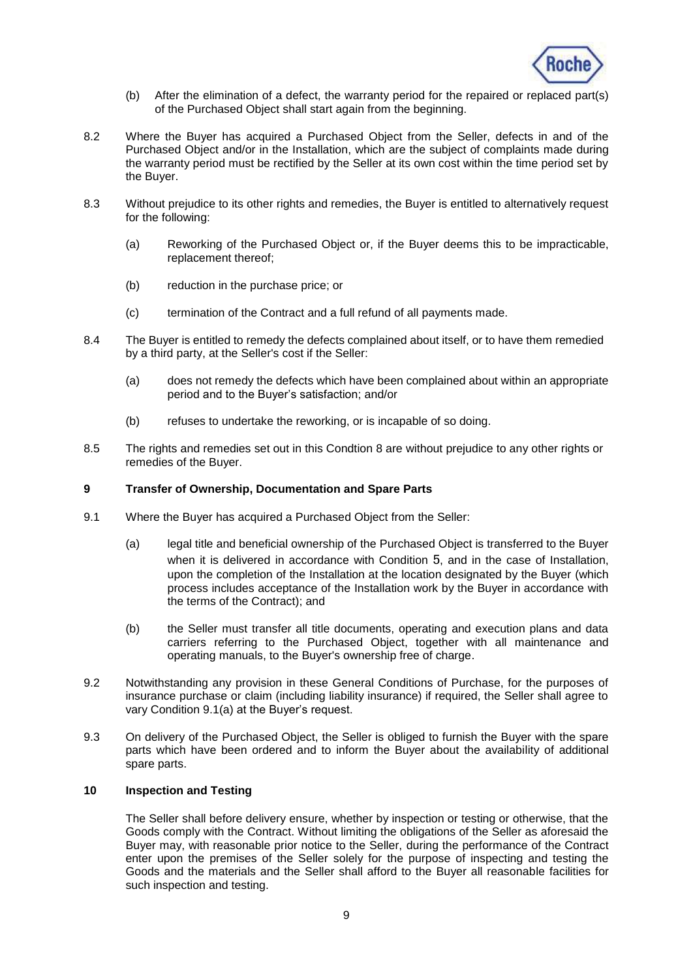

- (b) After the elimination of a defect, the warranty period for the repaired or replaced part(s) of the Purchased Object shall start again from the beginning.
- <span id="page-8-1"></span>8.2 Where the Buyer has acquired a Purchased Object from the Seller, defects in and of the Purchased Object and/or in the Installation, which are the subject of complaints made during the warranty period must be rectified by the Seller at its own cost within the time period set by the Buyer.
- 8.3 Without prejudice to its other rights and remedies, the Buyer is entitled to alternatively request for the following:
	- (a) Reworking of the Purchased Object or, if the Buyer deems this to be impracticable, replacement thereof;
	- (b) reduction in the purchase price; or
	- (c) termination of the Contract and a full refund of all payments made.
- 8.4 The Buyer is entitled to remedy the defects complained about itself, or to have them remedied by a third party, at the Seller's cost if the Seller:
	- (a) does not remedy the defects which have been complained about within an appropriate period and to the Buyer's satisfaction; and/or
	- (b) refuses to undertake the reworking, or is incapable of so doing.
- 8.5 The rights and remedies set out in this Condtion 8 are without prejudice to any other rights or remedies of the Buyer.

### **9 Transfer of Ownership, Documentation and Spare Parts**

- <span id="page-8-0"></span>9.1 Where the Buyer has acquired a Purchased Object from the Seller:
	- (a) legal title and beneficial ownership of the Purchased Object is transferred to the Buyer when it is delivered in accordance with Condition [5](#page-3-3), and in the case of Installation, upon the completion of the Installation at the location designated by the Buyer (which process includes acceptance of the Installation work by the Buyer in accordance with the terms of the Contract); and
	- (b) the Seller must transfer all title documents, operating and execution plans and data carriers referring to the Purchased Object, together with all maintenance and operating manuals, to the Buyer's ownership free of charge.
- 9.2 Notwithstanding any provision in these General Conditions of Purchase, for the purposes of insurance purchase or claim (including liability insurance) if required, the Seller shall agree to vary Condition [9.1\(a\)](#page-8-0) at the Buyer's request.
- 9.3 On delivery of the Purchased Object, the Seller is obliged to furnish the Buyer with the spare parts which have been ordered and to inform the Buyer about the availability of additional spare parts.

### **10 Inspection and Testing**

The Seller shall before delivery ensure, whether by inspection or testing or otherwise, that the Goods comply with the Contract. Without limiting the obligations of the Seller as aforesaid the Buyer may, with reasonable prior notice to the Seller, during the performance of the Contract enter upon the premises of the Seller solely for the purpose of inspecting and testing the Goods and the materials and the Seller shall afford to the Buyer all reasonable facilities for such inspection and testing.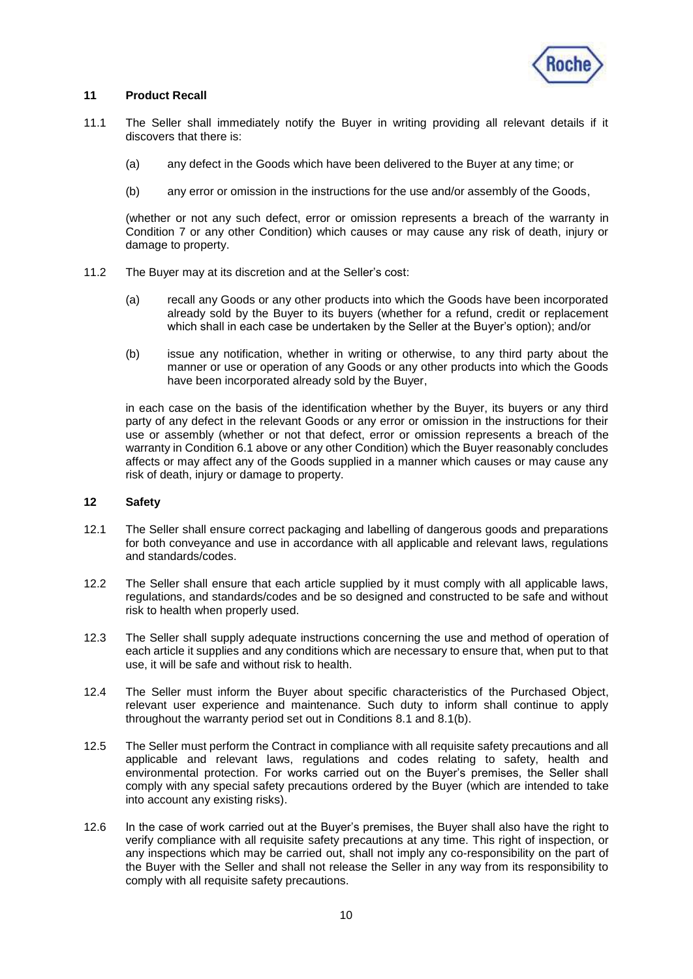

## <span id="page-9-0"></span>**11 Product Recall**

- 11.1 The Seller shall immediately notify the Buyer in writing providing all relevant details if it discovers that there is:
	- (a) any defect in the Goods which have been delivered to the Buyer at any time; or
	- (b) any error or omission in the instructions for the use and/or assembly of the Goods,

(whether or not any such defect, error or omission represents a breach of the warranty in Condition [7](#page-5-1) or any other Condition) which causes or may cause any risk of death, injury or damage to property.

- 11.2 The Buyer may at its discretion and at the Seller's cost:
	- (a) recall any Goods or any other products into which the Goods have been incorporated already sold by the Buyer to its buyers (whether for a refund, credit or replacement which shall in each case be undertaken by the Seller at the Buyer's option); and/or
	- (b) issue any notification, whether in writing or otherwise, to any third party about the manner or use or operation of any Goods or any other products into which the Goods have been incorporated already sold by the Buyer,

in each case on the basis of the identification whether by the Buyer, its buyers or any third party of any defect in the relevant Goods or any error or omission in the instructions for their use or assembly (whether or not that defect, error or omission represents a breach of the warranty in Condition 6.1 above or any other Condition) which the Buyer reasonably concludes affects or may affect any of the Goods supplied in a manner which causes or may cause any risk of death, injury or damage to property.

#### **12 Safety**

- 12.1 The Seller shall ensure correct packaging and labelling of dangerous goods and preparations for both conveyance and use in accordance with all applicable and relevant laws, regulations and standards/codes.
- 12.2 The Seller shall ensure that each article supplied by it must comply with all applicable laws, regulations, and standards/codes and be so designed and constructed to be safe and without risk to health when properly used.
- 12.3 The Seller shall supply adequate instructions concerning the use and method of operation of each article it supplies and any conditions which are necessary to ensure that, when put to that use, it will be safe and without risk to health.
- 12.4 The Seller must inform the Buyer about specific characteristics of the Purchased Object, relevant user experience and maintenance. Such duty to inform shall continue to apply throughout the warranty period set out in Conditions [8.1](#page-7-1) and [8.1\(b\).](#page-8-1)
- 12.5 The Seller must perform the Contract in compliance with all requisite safety precautions and all applicable and relevant laws, regulations and codes relating to safety, health and environmental protection. For works carried out on the Buyer's premises, the Seller shall comply with any special safety precautions ordered by the Buyer (which are intended to take into account any existing risks).
- 12.6 In the case of work carried out at the Buyer's premises, the Buyer shall also have the right to verify compliance with all requisite safety precautions at any time. This right of inspection, or any inspections which may be carried out, shall not imply any co-responsibility on the part of the Buyer with the Seller and shall not release the Seller in any way from its responsibility to comply with all requisite safety precautions.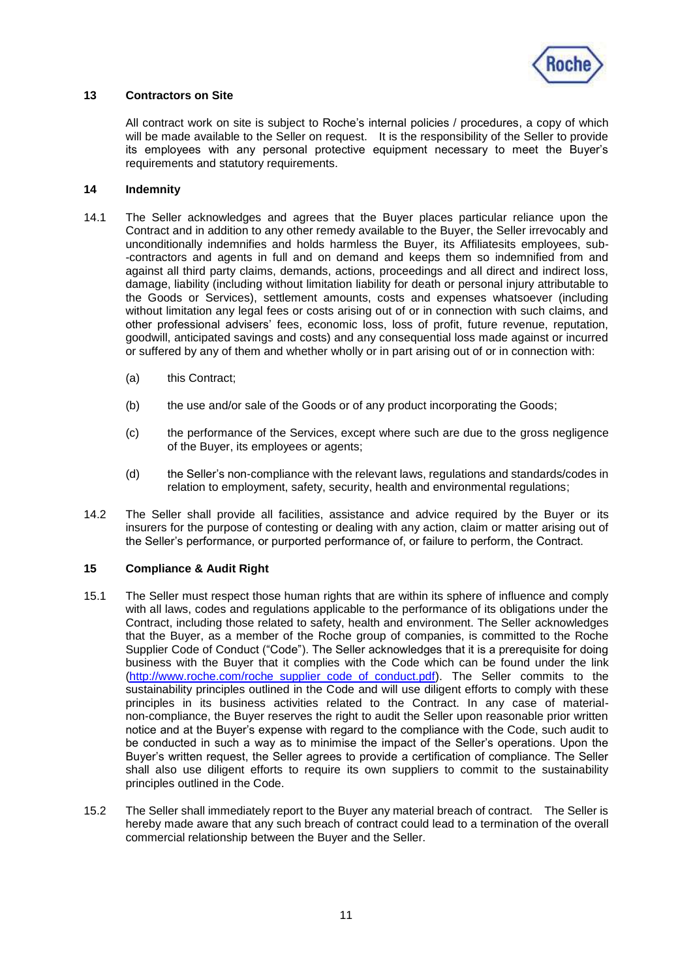

## **13 Contractors on Site**

All contract work on site is subject to Roche's internal policies / procedures, a copy of which will be made available to the Seller on request. It is the responsibility of the Seller to provide its employees with any personal protective equipment necessary to meet the Buyer's requirements and statutory requirements.

### <span id="page-10-0"></span>**14 Indemnity**

- 14.1 The Seller acknowledges and agrees that the Buyer places particular reliance upon the Contract and in addition to any other remedy available to the Buyer, the Seller irrevocably and unconditionally indemnifies and holds harmless the Buyer, its Affiliatesits employees, sub- -contractors and agents in full and on demand and keeps them so indemnified from and against all third party claims, demands, actions, proceedings and all direct and indirect loss, damage, liability (including without limitation liability for death or personal injury attributable to the Goods or Services), settlement amounts, costs and expenses whatsoever (including without limitation any legal fees or costs arising out of or in connection with such claims, and other professional advisers' fees, economic loss, loss of profit, future revenue, reputation, goodwill, anticipated savings and costs) and any consequential loss made against or incurred or suffered by any of them and whether wholly or in part arising out of or in connection with:
	- (a) this Contract;
	- (b) the use and/or sale of the Goods or of any product incorporating the Goods;
	- (c) the performance of the Services, except where such are due to the gross negligence of the Buyer, its employees or agents;
	- (d) the Seller's non-compliance with the relevant laws, regulations and standards/codes in relation to employment, safety, security, health and environmental regulations;
- 14.2 The Seller shall provide all facilities, assistance and advice required by the Buyer or its insurers for the purpose of contesting or dealing with any action, claim or matter arising out of the Seller's performance, or purported performance of, or failure to perform, the Contract.

### **15 Compliance & Audit Right**

- 15.1 The Seller must respect those human rights that are within its sphere of influence and comply with all laws, codes and regulations applicable to the performance of its obligations under the Contract, including those related to safety, health and environment. The Seller acknowledges that the Buyer, as a member of the Roche group of companies, is committed to the Roche Supplier Code of Conduct ("Code"). The Seller acknowledges that it is a prerequisite for doing business with the Buyer that it complies with the Code which can be found under the link [\(http://www.roche.com/roche\\_supplier\\_code\\_of\\_conduct.pdf\)](http://www.roche.com/roche_supplier_code_of_conduct.pdf). The Seller commits to the sustainability principles outlined in the Code and will use diligent efforts to comply with these principles in its business activities related to the Contract. In any case of materialnon-compliance, the Buyer reserves the right to audit the Seller upon reasonable prior written notice and at the Buyer's expense with regard to the compliance with the Code, such audit to be conducted in such a way as to minimise the impact of the Seller's operations. Upon the Buyer's written request, the Seller agrees to provide a certification of compliance. The Seller shall also use diligent efforts to require its own suppliers to commit to the sustainability principles outlined in the Code.
- 15.2 The Seller shall immediately report to the Buyer any material breach of contract. The Seller is hereby made aware that any such breach of contract could lead to a termination of the overall commercial relationship between the Buyer and the Seller.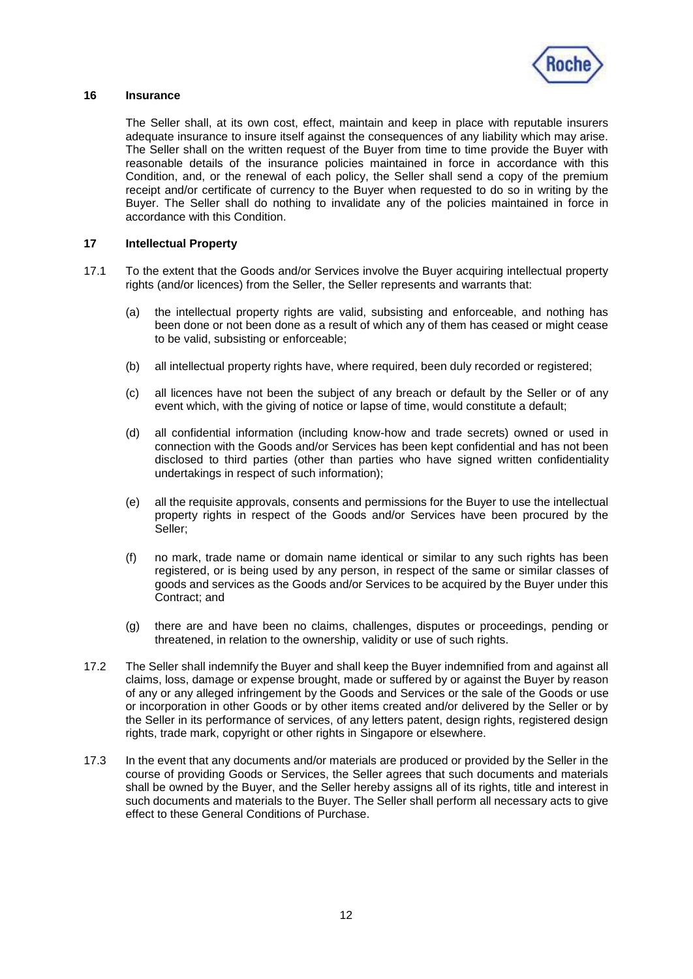

### **16 Insurance**

The Seller shall, at its own cost, effect, maintain and keep in place with reputable insurers adequate insurance to insure itself against the consequences of any liability which may arise. The Seller shall on the written request of the Buyer from time to time provide the Buyer with reasonable details of the insurance policies maintained in force in accordance with this Condition, and, or the renewal of each policy, the Seller shall send a copy of the premium receipt and/or certificate of currency to the Buyer when requested to do so in writing by the Buyer. The Seller shall do nothing to invalidate any of the policies maintained in force in accordance with this Condition.

### <span id="page-11-1"></span>**17 Intellectual Property**

- <span id="page-11-0"></span>17.1 To the extent that the Goods and/or Services involve the Buyer acquiring intellectual property rights (and/or licences) from the Seller, the Seller represents and warrants that:
	- (a) the intellectual property rights are valid, subsisting and enforceable, and nothing has been done or not been done as a result of which any of them has ceased or might cease to be valid, subsisting or enforceable;
	- (b) all intellectual property rights have, where required, been duly recorded or registered;
	- (c) all licences have not been the subject of any breach or default by the Seller or of any event which, with the giving of notice or lapse of time, would constitute a default;
	- (d) all confidential information (including know-how and trade secrets) owned or used in connection with the Goods and/or Services has been kept confidential and has not been disclosed to third parties (other than parties who have signed written confidentiality undertakings in respect of such information);
	- (e) all the requisite approvals, consents and permissions for the Buyer to use the intellectual property rights in respect of the Goods and/or Services have been procured by the Seller;
	- (f) no mark, trade name or domain name identical or similar to any such rights has been registered, or is being used by any person, in respect of the same or similar classes of goods and services as the Goods and/or Services to be acquired by the Buyer under this Contract; and
	- (g) there are and have been no claims, challenges, disputes or proceedings, pending or threatened, in relation to the ownership, validity or use of such rights.
- 17.2 The Seller shall indemnify the Buyer and shall keep the Buyer indemnified from and against all claims, loss, damage or expense brought, made or suffered by or against the Buyer by reason of any or any alleged infringement by the Goods and Services or the sale of the Goods or use or incorporation in other Goods or by other items created and/or delivered by the Seller or by the Seller in its performance of services, of any letters patent, design rights, registered design rights, trade mark, copyright or other rights in Singapore or elsewhere.
- 17.3 In the event that any documents and/or materials are produced or provided by the Seller in the course of providing Goods or Services, the Seller agrees that such documents and materials shall be owned by the Buyer, and the Seller hereby assigns all of its rights, title and interest in such documents and materials to the Buyer. The Seller shall perform all necessary acts to give effect to these General Conditions of Purchase.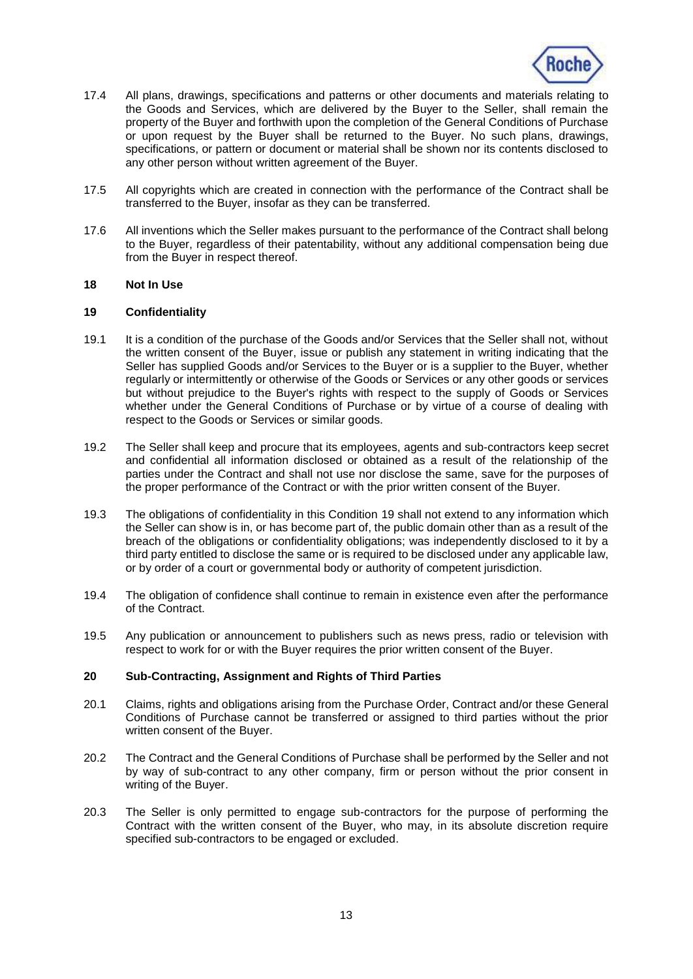

- 17.4 All plans, drawings, specifications and patterns or other documents and materials relating to the Goods and Services, which are delivered by the Buyer to the Seller, shall remain the property of the Buyer and forthwith upon the completion of the General Conditions of Purchase or upon request by the Buyer shall be returned to the Buyer. No such plans, drawings, specifications, or pattern or document or material shall be shown nor its contents disclosed to any other person without written agreement of the Buyer.
- 17.5 All copyrights which are created in connection with the performance of the Contract shall be transferred to the Buyer, insofar as they can be transferred.
- 17.6 All inventions which the Seller makes pursuant to the performance of the Contract shall belong to the Buyer, regardless of their patentability, without any additional compensation being due from the Buyer in respect thereof.

#### **18 Not In Use**

### <span id="page-12-0"></span>**19 Confidentiality**

- 19.1 It is a condition of the purchase of the Goods and/or Services that the Seller shall not, without the written consent of the Buyer, issue or publish any statement in writing indicating that the Seller has supplied Goods and/or Services to the Buyer or is a supplier to the Buyer, whether regularly or intermittently or otherwise of the Goods or Services or any other goods or services but without prejudice to the Buyer's rights with respect to the supply of Goods or Services whether under the General Conditions of Purchase or by virtue of a course of dealing with respect to the Goods or Services or similar goods.
- 19.2 The Seller shall keep and procure that its employees, agents and sub-contractors keep secret and confidential all information disclosed or obtained as a result of the relationship of the parties under the Contract and shall not use nor disclose the same, save for the purposes of the proper performance of the Contract or with the prior written consent of the Buyer.
- 19.3 The obligations of confidentiality in this Condition [19](#page-12-0) shall not extend to any information which the Seller can show is in, or has become part of, the public domain other than as a result of the breach of the obligations or confidentiality obligations; was independently disclosed to it by a third party entitled to disclose the same or is required to be disclosed under any applicable law, or by order of a court or governmental body or authority of competent jurisdiction.
- 19.4 The obligation of confidence shall continue to remain in existence even after the performance of the Contract.
- 19.5 Any publication or announcement to publishers such as news press, radio or television with respect to work for or with the Buyer requires the prior written consent of the Buyer.

#### **20 Sub-Contracting, Assignment and Rights of Third Parties**

- 20.1 Claims, rights and obligations arising from the Purchase Order, Contract and/or these General Conditions of Purchase cannot be transferred or assigned to third parties without the prior written consent of the Buyer.
- 20.2 The Contract and the General Conditions of Purchase shall be performed by the Seller and not by way of sub-contract to any other company, firm or person without the prior consent in writing of the Buyer.
- 20.3 The Seller is only permitted to engage sub-contractors for the purpose of performing the Contract with the written consent of the Buyer, who may, in its absolute discretion require specified sub-contractors to be engaged or excluded.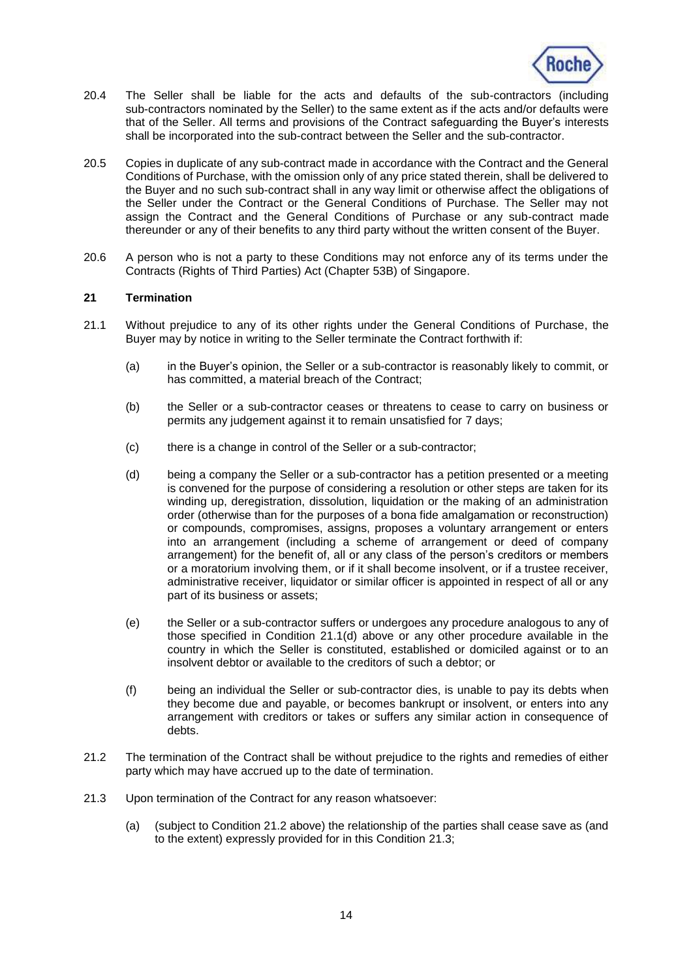

- 20.4 The Seller shall be liable for the acts and defaults of the sub-contractors (including sub-contractors nominated by the Seller) to the same extent as if the acts and/or defaults were that of the Seller. All terms and provisions of the Contract safeguarding the Buyer's interests shall be incorporated into the sub-contract between the Seller and the sub-contractor.
- 20.5 Copies in duplicate of any sub-contract made in accordance with the Contract and the General Conditions of Purchase, with the omission only of any price stated therein, shall be delivered to the Buyer and no such sub-contract shall in any way limit or otherwise affect the obligations of the Seller under the Contract or the General Conditions of Purchase. The Seller may not assign the Contract and the General Conditions of Purchase or any sub-contract made thereunder or any of their benefits to any third party without the written consent of the Buyer.
- 20.6 A person who is not a party to these Conditions may not enforce any of its terms under the Contracts (Rights of Third Parties) Act (Chapter 53B) of Singapore.

#### <span id="page-13-0"></span>**21 Termination**

- <span id="page-13-1"></span>21.1 Without prejudice to any of its other rights under the General Conditions of Purchase, the Buyer may by notice in writing to the Seller terminate the Contract forthwith if:
	- (a) in the Buyer's opinion, the Seller or a sub-contractor is reasonably likely to commit, or has committed, a material breach of the Contract;
	- (b) the Seller or a sub-contractor ceases or threatens to cease to carry on business or permits any judgement against it to remain unsatisfied for 7 days;
	- (c) there is a change in control of the Seller or a sub-contractor;
	- (d) being a company the Seller or a sub-contractor has a petition presented or a meeting is convened for the purpose of considering a resolution or other steps are taken for its winding up, deregistration, dissolution, liquidation or the making of an administration order (otherwise than for the purposes of a bona fide amalgamation or reconstruction) or compounds, compromises, assigns, proposes a voluntary arrangement or enters into an arrangement (including a scheme of arrangement or deed of company arrangement) for the benefit of, all or any class of the person's creditors or members or a moratorium involving them, or if it shall become insolvent, or if a trustee receiver, administrative receiver, liquidator or similar officer is appointed in respect of all or any part of its business or assets;
	- (e) the Seller or a sub-contractor suffers or undergoes any procedure analogous to any of those specified in Condition [21.1\(d\)](#page-13-1) above or any other procedure available in the country in which the Seller is constituted, established or domiciled against or to an insolvent debtor or available to the creditors of such a debtor; or
	- (f) being an individual the Seller or sub-contractor dies, is unable to pay its debts when they become due and payable, or becomes bankrupt or insolvent, or enters into any arrangement with creditors or takes or suffers any similar action in consequence of debts.
- <span id="page-13-2"></span>21.2 The termination of the Contract shall be without prejudice to the rights and remedies of either party which may have accrued up to the date of termination.
- <span id="page-13-3"></span>21.3 Upon termination of the Contract for any reason whatsoever:
	- (a) (subject to Condition [21.2](#page-13-2) above) the relationship of the parties shall cease save as (and to the extent) expressly provided for in this Condition [21.3;](#page-13-3)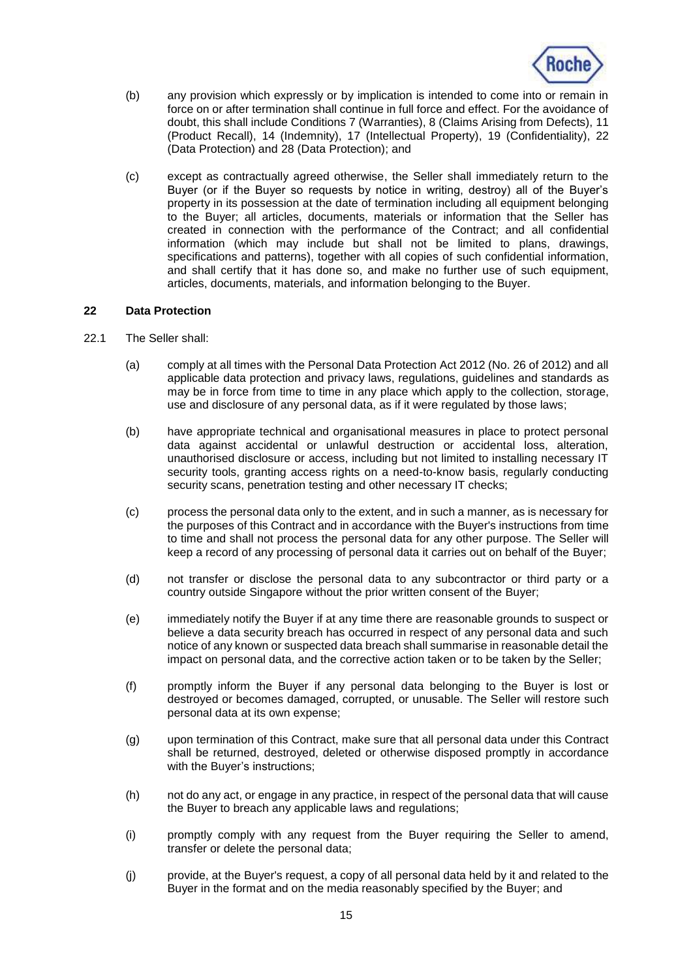

- (b) any provision which expressly or by implication is intended to come into or remain in force on or after termination shall continue in full force and effect. For the avoidance of doubt, this shall include Conditions [7](#page-5-1) (Warranties), [8](#page-7-2) (Claims Arising from Defects), [11](#page-9-0) (Product Recall), [14](#page-10-0) (Indemnity), [17](#page-11-1) (Intellectual Property), [19](#page-12-0) (Confidentiality), [22](#page-14-0) (Data Protection) and [28](#page-16-0) (Data Protection); and
- (c) except as contractually agreed otherwise, the Seller shall immediately return to the Buyer (or if the Buyer so requests by notice in writing, destroy) all of the Buyer's property in its possession at the date of termination including all equipment belonging to the Buyer; all articles, documents, materials or information that the Seller has created in connection with the performance of the Contract; and all confidential information (which may include but shall not be limited to plans, drawings, specifications and patterns), together with all copies of such confidential information, and shall certify that it has done so, and make no further use of such equipment, articles, documents, materials, and information belonging to the Buyer.

### <span id="page-14-0"></span>**22 Data Protection**

- 22.1 The Seller shall:
	- (a) comply at all times with the Personal Data Protection Act 2012 (No. 26 of 2012) and all applicable data protection and privacy laws, regulations, guidelines and standards as may be in force from time to time in any place which apply to the collection, storage, use and disclosure of any personal data, as if it were regulated by those laws;
	- (b) have appropriate technical and organisational measures in place to protect personal data against accidental or unlawful destruction or accidental loss, alteration, unauthorised disclosure or access, including but not limited to installing necessary IT security tools, granting access rights on a need-to-know basis, regularly conducting security scans, penetration testing and other necessary IT checks;
	- (c) process the personal data only to the extent, and in such a manner, as is necessary for the purposes of this Contract and in accordance with the Buyer's instructions from time to time and shall not process the personal data for any other purpose. The Seller will keep a record of any processing of personal data it carries out on behalf of the Buyer;
	- (d) not transfer or disclose the personal data to any subcontractor or third party or a country outside Singapore without the prior written consent of the Buyer;
	- (e) immediately notify the Buyer if at any time there are reasonable grounds to suspect or believe a data security breach has occurred in respect of any personal data and such notice of any known or suspected data breach shall summarise in reasonable detail the impact on personal data, and the corrective action taken or to be taken by the Seller;
	- (f) promptly inform the Buyer if any personal data belonging to the Buyer is lost or destroyed or becomes damaged, corrupted, or unusable. The Seller will restore such personal data at its own expense;
	- (g) upon termination of this Contract, make sure that all personal data under this Contract shall be returned, destroyed, deleted or otherwise disposed promptly in accordance with the Buyer's instructions;
	- (h) not do any act, or engage in any practice, in respect of the personal data that will cause the Buyer to breach any applicable laws and regulations;
	- (i) promptly comply with any request from the Buyer requiring the Seller to amend, transfer or delete the personal data;
	- (j) provide, at the Buyer's request, a copy of all personal data held by it and related to the Buyer in the format and on the media reasonably specified by the Buyer; and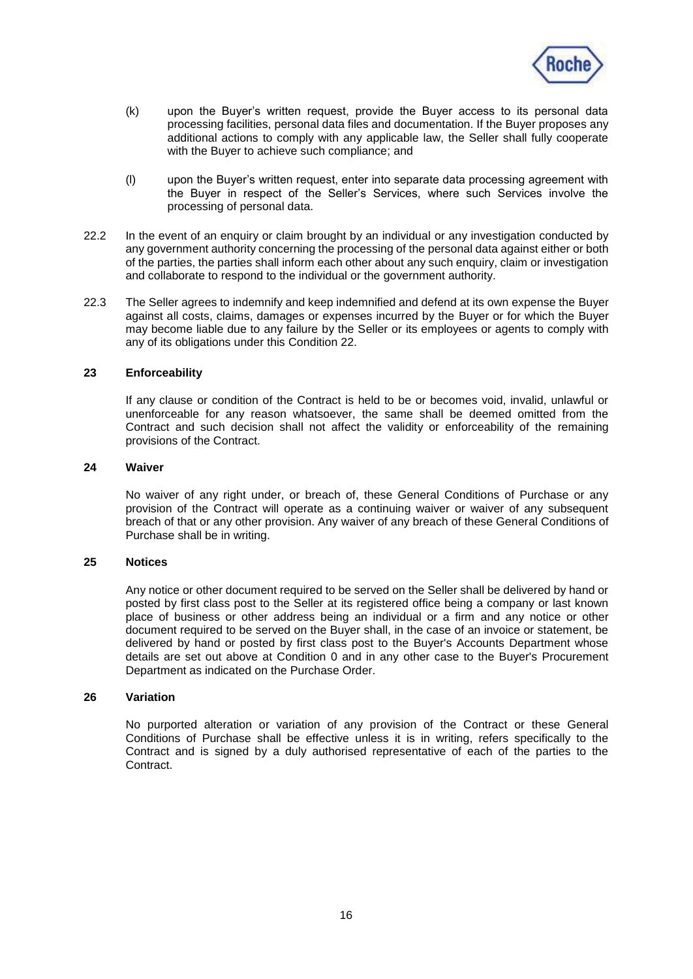

- (k) upon the Buyer's written request, provide the Buyer access to its personal data processing facilities, personal data files and documentation. If the Buyer proposes any additional actions to comply with any applicable law, the Seller shall fully cooperate with the Buyer to achieve such compliance; and
- (l) upon the Buyer's written request, enter into separate data processing agreement with the Buyer in respect of the Seller's Services, where such Services involve the processing of personal data.
- 22.2 In the event of an enquiry or claim brought by an individual or any investigation conducted by any government authority concerning the processing of the personal data against either or both of the parties, the parties shall inform each other about any such enquiry, claim or investigation and collaborate to respond to the individual or the government authority.
- 22.3 The Seller agrees to indemnify and keep indemnified and defend at its own expense the Buyer against all costs, claims, damages or expenses incurred by the Buyer or for which the Buyer may become liable due to any failure by the Seller or its employees or agents to comply with any of its obligations under this Condition [22.](#page-14-0)

#### **23 Enforceability**

If any clause or condition of the Contract is held to be or becomes void, invalid, unlawful or unenforceable for any reason whatsoever, the same shall be deemed omitted from the Contract and such decision shall not affect the validity or enforceability of the remaining provisions of the Contract.

### **24 Waiver**

No waiver of any right under, or breach of, these General Conditions of Purchase or any provision of the Contract will operate as a continuing waiver or waiver of any subsequent breach of that or any other provision. Any waiver of any breach of these General Conditions of Purchase shall be in writing.

#### **25 Notices**

Any notice or other document required to be served on the Seller shall be delivered by hand or posted by first class post to the Seller at its registered office being a company or last known place of business or other address being an individual or a firm and any notice or other document required to be served on the Buyer shall, in the case of an invoice or statement, be delivered by hand or posted by first class post to the Buyer's Accounts Department whose details are set out above at Condition [0](#page-4-1) and in any other case to the Buyer's Procurement Department as indicated on the Purchase Order.

### <span id="page-15-0"></span>**26 Variation**

No purported alteration or variation of any provision of the Contract or these General Conditions of Purchase shall be effective unless it is in writing, refers specifically to the Contract and is signed by a duly authorised representative of each of the parties to the **Contract.**